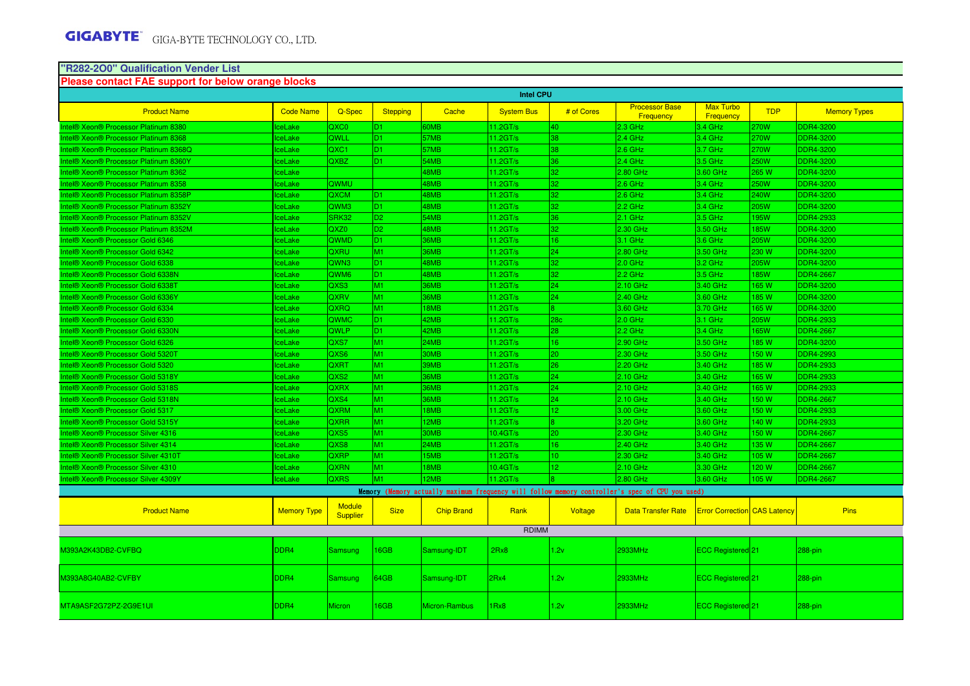#### **"R282-2O0" Qualification Vender ListPlease contact FAE support for below orange blocks**

| <b>Intel CPU</b>                                          |                    |                                  |                 |                      |                   |                 |                                                                                                 |                                     |             |                     |
|-----------------------------------------------------------|--------------------|----------------------------------|-----------------|----------------------|-------------------|-----------------|-------------------------------------------------------------------------------------------------|-------------------------------------|-------------|---------------------|
| <b>Product Name</b>                                       | <b>Code Name</b>   | Q-Spec                           | <b>Stepping</b> | Cache                | <b>System Bus</b> | # of Cores      | <b>Processor Base</b><br><b>Frequency</b>                                                       | <b>Max Turbo</b><br>Frequency       | <b>TDP</b>  | <b>Memory Types</b> |
| ntel® Xeon® Processor Platinum 8380                       | ceLake             | QXC0                             | D <sub>1</sub>  | 60MB                 | 11.2GT/s          | 40              | $2.3$ GHz                                                                                       | 3.4 GHz                             | 270W        | <b>DDR4-3200</b>    |
| Intel® Xeon® Processor Platinum 8368                      | ceLake             | QWLL                             | D <sub>1</sub>  | 57MB                 | $11.2$ GT/s       | 38              | $2.4$ GHz                                                                                       | 3.4 GHz                             | 270W        | DDR4-3200           |
| Intel® Xeon® Processor Platinum 8368Q                     | ceLake             | QXC <sub>1</sub>                 | ID1.            | 57MB                 | 11.2GT/s          | 38              | $2.6$ GHz                                                                                       | $3.7$ GHz                           | 270W        | DDR4-3200           |
| Intel® Xeon® Processor Platinum 8360Y                     | ceLake             | <b>QXBZ</b>                      | ID1             | 54MB                 | 11.2GT/s          | 36              | $2.4$ GHz                                                                                       | 3.5 GHz                             | 250W        | <b>DDR4-3200</b>    |
| Intel® Xeon® Processor Platinum 8362                      | ceLake             |                                  |                 | 48MB                 | 11.2GT/s          | 32              | 2.80 GHz                                                                                        | 3.60 GHz                            | 265 W       | DDR4-3200           |
| Intel® Xeon® Processor Platinum 8358                      | ceLake             | QWMU                             |                 | 48MB                 | 11.2GT/s          | 32              | $2.6$ GHz                                                                                       | 3.4 GHz                             | 250W        | DDR4-3200           |
| Intel® Xeon® Processor Platinum 8358P                     | ceLake             | QXCM                             | D <sub>1</sub>  | 48MB                 | 11.2GT/s          | 32              | 2.6 GHz                                                                                         | 3.4 GHz                             | 240W        | <b>DDR4-3200</b>    |
| Intel® Xeon® Processor Platinum 8352Y                     | ceLake             | QWM3                             | D <sub>1</sub>  | 48MB                 | 11.2GT/s          | 32              | $2.2$ GHz                                                                                       | 3.4 GHz                             | 205W        | DDR4-3200           |
| Intel® Xeon® Processor Platinum 8352V                     | ceLake             | SRK32                            | D <sub>2</sub>  | 54MB                 | 11.2GT/s          | 36.             | <b>2.1 GHz</b>                                                                                  | 3.5 GHz                             | 195W        | <b>DDR4-2933</b>    |
| Intel® Xeon® Processor Platinum 8352M                     | ceLake             | QXZ <sub>0</sub>                 | D <sub>2</sub>  | 48MB                 | 11.2GT/s          | 32              | 2.30 GHz                                                                                        | 3.50 GHz                            | <b>85W</b>  | <b>DDR4-3200</b>    |
| Intel® Xeon® Processor Gold 6346                          | ceLake             | <b>QWMD</b>                      | ID1.            | 36MB                 | 11.2GT/s          | 16              | 3.1 GHz                                                                                         | $3.6$ GHz                           | 205W        | DDR4-3200           |
| Intel® Xeon® Processor Gold 6342                          | ceLake             | <b>QXRU</b>                      | M1              | 36MB                 | 11.2GT/s          | 24              | 2.80 GHz                                                                                        | 3.50 GHz                            | 230 W       | DDR4-3200           |
| Intel® Xeon® Processor Gold 6338                          | ceLake             | QWN <sub>3</sub>                 | D <sub>1</sub>  | 48MB                 | $11.2$ GT/s       | 32              | $2.0$ GHz                                                                                       | 3.2 GHz                             | 205W        | DDR4-3200           |
| Intel® Xeon® Processor Gold 6338N                         | ceLake             | QWM <sub>6</sub>                 | D <sub>1</sub>  | 48MB                 | 11.2GT/s          | 32              | $2.2$ GHz                                                                                       | $3.5$ GHz                           | <b>85W</b>  | <b>DDR4-2667</b>    |
| Intel® Xeon® Processor Gold 6338T                         | ceLake             | QXS3                             | M <sub>1</sub>  | 36MB                 | 11.2GT/s          | 24              | 2.10 GHz                                                                                        | 3.40 GHz                            | 165W        | DDR4-3200           |
| Intel® Xeon® Processor Gold 6336Y                         | ceLake             | <b>QXRV</b>                      | M <sub>1</sub>  | 36MB                 | 11.2GT/s          | 24              | 2.40 GHz                                                                                        | 3.60 GHz                            | 185 W       | <b>DDR4-3200</b>    |
| Intel® Xeon® Processor Gold 6334                          | ceLake             | QXRQ                             | M1              | 18MB                 | 11.2GT/s          |                 | 3.60 GHz                                                                                        | 3.70 GHz                            | <b>165W</b> | DDR4-3200           |
| Intel® Xeon® Processor Gold 6330                          | ceLake             | QWMC                             | D <sub>1</sub>  | 42MB                 | 11.2GT/s          | 28 <sub>c</sub> | $2.0$ GHz                                                                                       | 3.1 GHz                             | 205W        | <b>DDR4-2933</b>    |
| Intel® Xeon® Processor Gold 6330N                         | ceLake             | QWLP                             | D <sub>1</sub>  | 42MB                 | 11.2GT/s          | 28              | $2.2$ GHz                                                                                       | 3.4 GHz                             | <b>165W</b> | <b>DDR4-2667</b>    |
| Intel® Xeon® Processor Gold 6326                          | ceLake             | QXS7                             | M <sub>1</sub>  | 24MB                 | 11.2GT/s          | 16.             | 2.90 GHz                                                                                        | 3.50 GHz                            | 185 W       | <b>DDR4-3200</b>    |
| Intel <sup>®</sup> Xeon <sup>®</sup> Processor Gold 5320T | ceLake             | QXS6                             | M <sub>1</sub>  | 30MB                 | 11.2GT/s          | l20.            | 2.30 GHz                                                                                        | 3.50 GHz                            | 150 W       | <b>DDR4-2993</b>    |
| Intel® Xeon® Processor Gold 5320                          | ceLake             | <b>QXRT</b>                      | M <sub>1</sub>  | 39MB                 | 11.2GT/s          | 26              | 2.20 GHz                                                                                        | 3.40 GHz                            | 185 W       | <b>DDR4-2933</b>    |
| Intel® Xeon® Processor Gold 5318Y                         | ceLake             | QXS <sub>2</sub>                 | M <sub>1</sub>  | 36MB                 | 11.2GT/s          | 24              | 2.10 GHz                                                                                        | 3.40 GHz                            | 165W        | <b>DDR4-2933</b>    |
| Intel® Xeon® Processor Gold 5318S                         | ceLake             | <b>QXRX</b>                      | M <sub>1</sub>  | 36MB                 | 11.2GT/s          | 24              | 2.10 GHz                                                                                        | 3.40 GHz                            | 165W        | DDR4-2933           |
| Intel® Xeon® Processor Gold 5318N                         | ceLake             | QXS4                             | M1              | 36MB                 | 11.2GT/s          | 24              | 2.10 GHz                                                                                        | 3.40 GHz                            | 150W        | <b>DDR4-2667</b>    |
| Intel® Xeon® Processor Gold 5317                          | ceLake             | QXRM                             | M <sub>1</sub>  | 18MB                 | $11.2$ GT/s       | 12 <sub>1</sub> | 3.00 GHz                                                                                        | 3.60 GHz                            | 150 W       | <b>DDR4-2933</b>    |
| Intel® Xeon® Processor Gold 5315Y                         | ceLake             | QXRR                             | M <sub>1</sub>  | 12MB                 | $11.2$ GT/s       | 8               | 3.20 GHz                                                                                        | 3.60 GHz                            | 140 W       | DDR4-2933           |
| Intel® Xeon® Processor Silver 4316                        | <b>IceLake</b>     | QXS5                             | M <sub>1</sub>  | 30MB                 | 10.4GT/s          | 20              | 2.30 GHz                                                                                        | 3.40 GHz                            | 150 W       | <b>DDR4-2667</b>    |
| Intel® Xeon® Processor Silver 4314                        | ceLake             | QXS8                             | M <sub>1</sub>  | 24MB                 | 11.2GT/s          | 16              | 2.40 GHz                                                                                        | 3.40 GHz                            | 135 W       | <b>DDR4-2667</b>    |
| Intel® Xeon® Processor Silver 4310T                       | ceLake             | <b>QXRP</b>                      | M1              | 5MB                  | 11.2GT/s          | 10 <sup>°</sup> | 2.30 GHz                                                                                        | 3.40 GHz                            | 105W        | <b>DDR4-2667</b>    |
| ntel® Xeon® Processor Silver 4310                         | ceLake             | <b>QXRN</b>                      | M1              | 18MB                 | 10.4GT/s          | 12 <sub>1</sub> | 2.10 GHz                                                                                        | 3.30 GHz                            | 120 W       | <b>DDR4-2667</b>    |
| ntel® Xeon® Processor Silver 4309Y                        | ceLake             | <b>QXRS</b>                      | M <sub>1</sub>  | 2MB                  | 11.2GT/s          |                 | 2.80 GHz                                                                                        | 3.60 GHz                            | 105W        | <b>DDR4-2667</b>    |
|                                                           |                    |                                  |                 |                      |                   |                 | Memory (Memory actually maximum frequency will follow memory controller's spec of CPU you used) |                                     |             |                     |
| <b>Product Name</b>                                       | <b>Memory Type</b> | <b>Module</b><br><b>Supplier</b> | <b>Size</b>     | <b>Chip Brand</b>    | Rank              | Voltage         | <b>Data Transfer Rate</b>                                                                       | <b>Error Correction CAS Latency</b> |             | Pins                |
|                                                           |                    |                                  |                 |                      | <b>RDIMM</b>      |                 |                                                                                                 |                                     |             |                     |
| M393A2K43DB2-CVFBQ                                        | DDR4               | Samsung                          | 16GB            | Samsung-IDT          | 2Rx8              | 1.2v            | 2933MHz                                                                                         | ECC Registered 21                   |             | 288-pin             |
| 1393A8G40AB2-CVFBY                                        | DDR4               | <b>Samsung</b>                   | 64GB            | Samsung-IDT          | 2Rx4              | 1.2v            | 2933MHz                                                                                         | ECC Registered 21                   |             | $288$ -pin          |
| MTA9ASF2G72PZ-2G9E1UI                                     | DDR4               | <b>Micron</b>                    | <b>16GB</b>     | <b>Micron-Rambus</b> | 1Rx8              | 1.2v            | 2933MHz                                                                                         | ECC Registered 21                   |             | 288-pin             |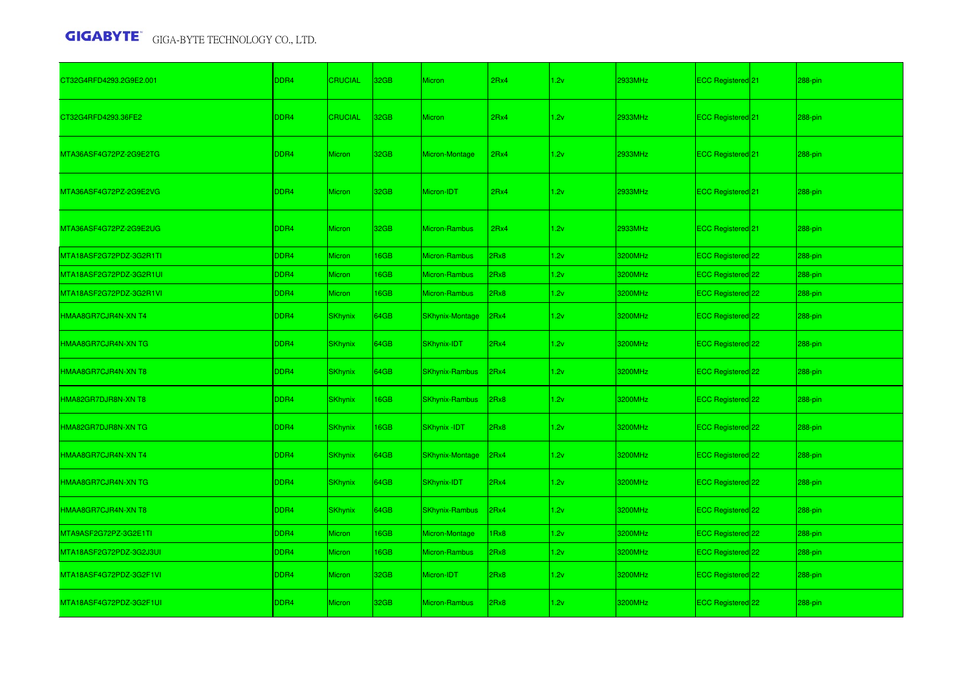| CT32G4RFD4293.2G9E2.001 | DDR4 | <b>CRUCIAL</b> | 32 <sub>GB</sub> | <b>Micron</b>          | 2Rx4 | 1.2v | 2933MHz        | ECC Registered <sup>1</sup> 21 | 288-pin |
|-------------------------|------|----------------|------------------|------------------------|------|------|----------------|--------------------------------|---------|
| CT32G4RFD4293.36FE2     | DDR4 | <b>CRUCIAL</b> | 32 <sub>GB</sub> | <b>Micron</b>          | 2Rx4 | 1.2v | <b>2933MHz</b> | ECC Registered 21              | 288-pin |
| MTA36ASF4G72PZ-2G9E2TG  | DDR4 | <b>Micron</b>  | 32GB             | Micron-Montage         | 2Rx4 | 1.2v | 2933MHz        | ECC Registered <sup>[21]</sup> | 288-pin |
| MTA36ASF4G72PZ-2G9E2VG  | DDR4 | <b>Micron</b>  | 32GB             | Micron-IDT             | 2Rx4 | 1.2v | <b>2933MHz</b> | ECC Registered 21              | 288-pin |
| MTA36ASF4G72PZ-2G9E2UG  | DDR4 | <b>Micron</b>  | 32GB             | Micron-Rambus          | 2Rx4 | 1.2v | 2933MHz        | ECC Registered <sup>[21]</sup> | 288-pin |
| MTA18ASF2G72PDZ-3G2R1TI | DDR4 | Micron         | 16GB             | Micron-Rambus          | 2Rx8 | 1.2v | 3200MHz        | ECC Registered 22              | 288-pin |
| MTA18ASF2G72PDZ-3G2R1UI | DDR4 | Micron         | 16GB             | Micron-Rambus          | 2Rx8 | 1.2v | 3200MHz        | ECC Registered 22              | 288-pin |
| MTA18ASF2G72PDZ-3G2R1VI | DDR4 | Micron         | 16GB             | Micron-Rambus          | 2Rx8 | 1.2v | 3200MHz        | ECC Registered 22              | 288-pin |
| HMAA8GR7CJR4N-XN T4     | DDR4 | <b>SKhynix</b> | 64GB             | <b>SKhynix-Montage</b> | 2Rx4 | 1.2v | 3200MHz        | ECC Registered 22              | 288-pin |
| HMAA8GR7CJR4N-XN TG     | DDR4 | <b>SKhynix</b> | 64GB             | SKhynix-IDT            | 2Rx4 | 1.2v | 3200MHz        | ECC Registered 22              | 288-pin |
| HMAA8GR7CJR4N-XN T8     | DDR4 | <b>SKhynix</b> | 64GB             | SKhynix-Rambus         | 2Rx4 | 1.2v | 3200MHz        | ECC Registered 22              | 288-pin |
| HMA82GR7DJR8N-XN T8     | DDR4 | <b>SKhynix</b> | 16GB             | <b>SKhynix-Rambus</b>  | 2Rx8 | 1.2v | 3200MHz        | ECC Registered 22              | 288-pin |
| HMA82GR7DJR8N-XN TG     | DDR4 | <b>SKhynix</b> | 16GB             | <b>SKhynix-IDT</b>     | 2Rx8 | 1.2v | 3200MHz        | ECC Registered 22              | 288-pin |
| HMAA8GR7CJR4N-XN T4     | DDR4 | <b>SKhynix</b> | 64GB             | SKhynix-Montage        | 2Rx4 | 1.2v | 3200MHz        | ECC Registered 22              | 288-pin |
| HMAA8GR7CJR4N-XN TG     | DDR4 | <b>SKhynix</b> | 64GB             | SKhynix-IDT            | 2Rx4 | 1.2v | 3200MHz        | ECC Registered 22              | 288-pin |
| HMAA8GR7CJR4N-XN T8     | DDR4 | <b>SKhynix</b> | 64GB             | <b>SKhynix-Rambus</b>  | 2Rx4 | 1.2v | 3200MHz        | ECC Registered 22              | 288-pin |
| MTA9ASF2G72PZ-3G2E1TI   | DDR4 | Micron         | 16GB             | Micron-Montage         | 1Rx8 | 1.2v | 3200MHz        | ECC Registered 22              | 288-pin |
| MTA18ASF2G72PDZ-3G2J3UI | DDR4 | Micron         | 16GB             | Micron-Rambus          | 2Rx8 | 1.2v | 3200MHz        | ECC Registered 22              | 288-pin |
| MTA18ASF4G72PDZ-3G2F1VI | DDR4 | Micron         | 32GB             | Micron-IDT             | 2Rx8 | 1.2v | 3200MHz        | ECC Registered 22              | 288-pin |
| MTA18ASF4G72PDZ-3G2F1UI | DDR4 | Micron         | 32GB             | Micron-Rambus          | 2Rx8 | 1.2v | 3200MHz        | ECC Registered 22              | 288-pin |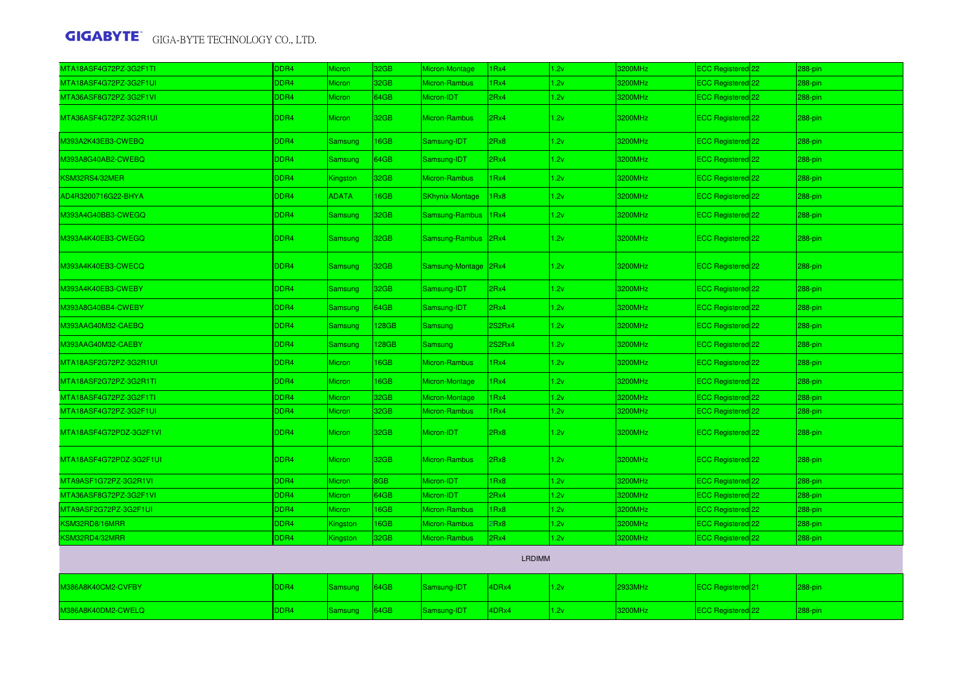| MTA18ASF4G72PZ-3G2F1TI  | DDR4 | Micron         | 32GB             | Micron-Montage         | 1Rx4             | 1.2v | 3200MHz | ECC Registered 22              | 288-pin |
|-------------------------|------|----------------|------------------|------------------------|------------------|------|---------|--------------------------------|---------|
| MTA18ASF4G72PZ-3G2F1UI  | DDR4 | Micron         | 32GB             | Micron-Rambus          | 1 <sub>Rx4</sub> | 1.2v | 3200MHz | <b>ECC Registered</b> 22       | 288-pin |
| MTA36ASF8G72PZ-3G2F1VI  | DDR4 | Micron         | 64GB             | Micron-IDT             | 2Rx4             | 1.2v | 3200MHz | ECC Registered 22              | 288-pin |
| MTA36ASF4G72PZ-3G2R1UI  | DDR4 | <b>Micron</b>  | 32GB             | Micron-Rambus          | 2Rx4             | 1.2v | 3200MHz | ECC Registered <sup>22</sup>   | 288-pin |
| M393A2K43EB3-CWEBQ      | DDR4 | Samsung        | 16GB             | Samsung-IDT            | 2Rx8             | 1.2v | 3200MHz | ECC Registered 22              | 288-pin |
| M393A8G40AB2-CWEBQ      | DDR4 | Samsung        | 64GB             | Samsung-IDT            | 2Rx4             | 1.2v | 3200MHz | ECC Registered <sup>22</sup>   | 288-pin |
| KSM32RS4/32MER          | DDR4 | Kingston       | 32GB             | <b>Micron-Rambus</b>   | 1Rx4             | 1.2v | 3200MHz | ECC Registered 22              | 288-pin |
| AD4R3200716G22-BHYA     | DDR4 | <b>ADATA</b>   | 16GB             | <b>SKhynix-Montage</b> | 1Rx8             | 1.2v | 3200MHz | ECC Registered <sup>22</sup>   | 288-pin |
| M393A4G40BB3-CWEGQ      | DDR4 | Samsung        | 32GB             | Samsung-Rambus         | 1Rx4             | 1.2v | 3200MHz | ECC Registered 22              | 288-pin |
| M393A4K40EB3-CWEGQ      | DDR4 | Samsung        | 32GB             | Samsung-Rambus 2Rx4    |                  | 1.2v | 3200MHz | ECC Registered 22              | 288-pin |
| M393A4K40EB3-CWECQ      | DDR4 | Samsung        | 32GB             | Samsung-Montage 2Rx4   |                  | 1.2v | 3200MHz | ECC Registered 22              | 288-pin |
| M393A4K40EB3-CWEBY      | DDR4 | Samsung        | 32GB             | Samsung-IDT            | 2Rx4             | 1.2v | 3200MHz | ECC Registered 22              | 288-pin |
| M393A8G40BB4-CWEBY      | DDR4 | Samsung        | 64GB             | Samsung-IDT            | 2Rx4             | 1.2v | 3200MHz | ECC Registered 22              | 288-pin |
| M393AAG40M32-CAEBQ      | DDR4 | Samsung        | 128GB            | <b>Samsung</b>         | 2S2Rx4           | 1.2v | 3200MHz | ECC Registered 22              | 288-pin |
| M393AAG40M32-CAEBY      | DDR4 | Samsung        | 128GB            | Samsung                | 2S2Rx4           | 1.2v | 3200MHz | ECC Registered 22              | 288-pin |
| MTA18ASF2G72PZ-3G2R1UI  | DDR4 | <b>Micron</b>  | 16GB             | Micron-Rambus          | 1Rx4             | 1.2v | 3200MHz | ECC Registered 22              | 288-pin |
| MTA18ASF2G72PZ-3G2R1TI  | DDR4 | Micron         | 16GB             | Micron-Montage         | 1Rx4             | 1.2v | 3200MHz | ECC Registered 22              | 288-pin |
| MTA18ASF4G72PZ-3G2F1TI  | DDR4 | Micron         | 32GB             | Micron-Montage         | 1Rx4             | 1.2v | 3200MHz | ECC Registered 22              | 288-pin |
| MTA18ASF4G72PZ-3G2F1UI  | DDR4 | Micron         | 32GB             | Micron-Rambus          | 1Rx4             | 1.2v | 3200MHz | ECC Registered <sup>22</sup>   | 288-pin |
| MTA18ASF4G72PDZ-3G2F1VI | DDR4 | Micron         | 32 <sub>GB</sub> | Micron-IDT             | 2Rx8             | 1.2v | 3200MHz | ECC Registered 22              | 288-pin |
| MTA18ASF4G72PDZ-3G2F1UI | DDR4 | <b>Micron</b>  | 32GB             | Micron-Rambus          | 2Rx8             | 1.2v | 3200MHz | ECC Registered <sup>22</sup>   | 288-pin |
| MTA9ASF1G72PZ-3G2R1VI   | DDR4 | <b>Micron</b>  | 8GB              | Micron-IDT             | 1Rx8             | 1.2v | 3200MHz | ECC Registered <sup>1</sup> 22 | 288-pin |
| MTA36ASF8G72PZ-3G2F1VI  | DDR4 | Micron         | 64GB             | Micron-IDT             | 2Rx4             | 1.2v | 3200MHz | ECC Registered <sup>22</sup>   | 288-pin |
| MTA9ASF2G72PZ-3G2F1UI   | DDR4 | Micron         | 16GB             | Micron-Rambus          | 1Rx8             | 1.2v | 3200MHz | ECC Registered <sup>22</sup>   | 288-pin |
| SM32RD8/16MRR           | DDR4 | Kingston       | 16GB             | Micron-Rambus          | 2Rx8             | 1.2v | 3200MHz | ECC Registered <sup>22</sup>   | 288-pin |
| KSM32RD4/32MRR          | DDR4 | Kingston       | 32GB             | Micron-Rambus          | 2Rx4             | 1.2v | 3200MHz | ECC Registered 22              | 288-pin |
|                         |      |                |                  |                        | LRDIMM           |      |         |                                |         |
| M386A8K40CM2-CVFBY      | DDR4 | Samsung        | 64GB             | Samsung-IDT            | 4DRx4            | 1.2v | 2933MHz | ECC Registered <sup>1</sup> 21 | 288-pin |
| M386A8K40DM2-CWELQ      | DDR4 | <b>Samsung</b> | 64GB             | Samsung-IDT            | 4DRx4            | 1.2v | 3200MHz | ECC Registered 22              | 288-pin |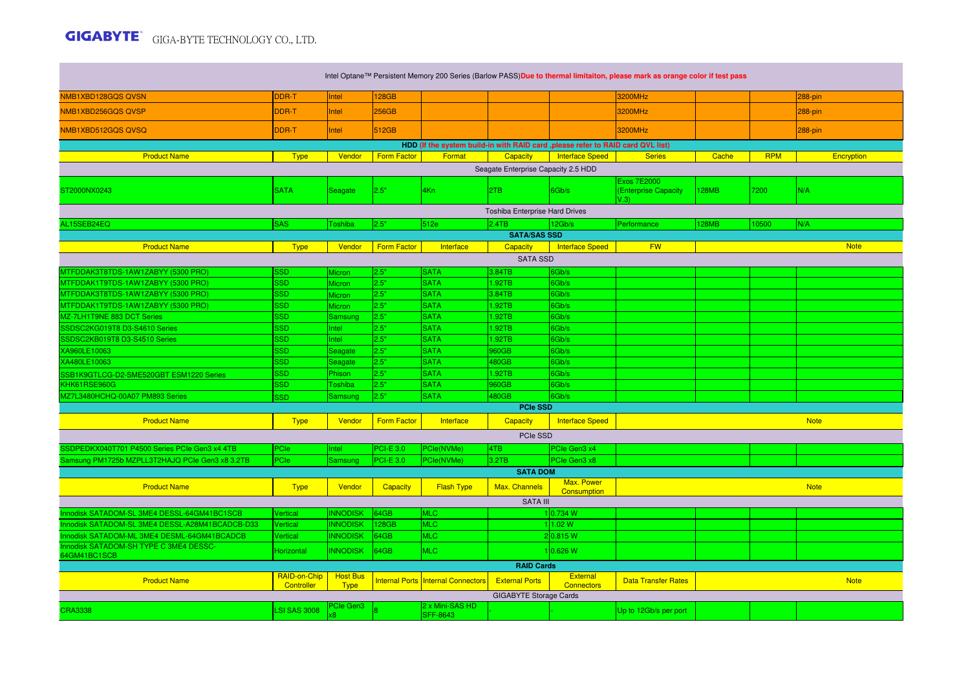**The Common** 

| Intel Optane™ Persistent Memory 200 Series (Barlow PASS)Due to thermal limitaiton, please mark as orange color if test pass |                            |                                |                    |                                    |                               |                               |                                                    |              |            |             |  |
|-----------------------------------------------------------------------------------------------------------------------------|----------------------------|--------------------------------|--------------------|------------------------------------|-------------------------------|-------------------------------|----------------------------------------------------|--------------|------------|-------------|--|
| NMB1XBD128GQS QVSN                                                                                                          | <b>DDR-T</b>               | Intel                          | <b>128GB</b>       |                                    |                               |                               | 3200MHz                                            |              |            | 288-pin     |  |
| NMB1XBD256GQS QVSP                                                                                                          | DDR-T                      | Intel                          | 256GB              |                                    |                               |                               | 3200MHz                                            |              |            | 288-pin     |  |
| NMB1XBD512GQS QVSQ                                                                                                          | DDR-T                      | Intel                          | 512GB              |                                    |                               |                               | 3200MHz                                            |              |            | 288-pin     |  |
| HDD (If the system build-in with RAID card , please refer to RAID card QVL list)                                            |                            |                                |                    |                                    |                               |                               |                                                    |              |            |             |  |
| <b>Product Name</b>                                                                                                         | <b>Type</b>                | Vendor                         | <b>Form Factor</b> | Format                             | <b>Capacity</b>               | <b>Interface Speed</b>        | <b>Series</b>                                      | Cache        | <b>RPM</b> | Encryption  |  |
| Seagate Enterprise Capacity 2.5 HDD                                                                                         |                            |                                |                    |                                    |                               |                               |                                                    |              |            |             |  |
| ST2000NX0243                                                                                                                | <b>SATA</b>                | Seagate                        | 2.5"               | 4Kn                                | 2TB                           | 6Gb/s                         | <b>Exos 7E2000</b><br>(Enterprise Capacity<br>V.3V | 128MB        | 7200       | N/A         |  |
| Toshiba Enterprise Hard Drives                                                                                              |                            |                                |                    |                                    |                               |                               |                                                    |              |            |             |  |
| AL15SEB24EQ                                                                                                                 | <b>SAS</b>                 | Toshiba                        | 2.5"               | 512e                               | 2.4TB                         | 12Gb/s                        | Performance                                        | <b>128MB</b> | 10500      | IN/A        |  |
|                                                                                                                             |                            |                                |                    |                                    | <b>SATA/SAS SSD</b>           |                               |                                                    |              |            |             |  |
| <b>Product Name</b>                                                                                                         | <b>Type</b>                | Vendor                         | <b>Form Factor</b> | Interface                          | Capacity                      | <b>Interface Speed</b>        | <b>FW</b>                                          |              |            | <b>Note</b> |  |
| <b>SATA SSD</b>                                                                                                             |                            |                                |                    |                                    |                               |                               |                                                    |              |            |             |  |
| MTFDDAK3T8TDS-1AW1ZABYY (5300 PRO)                                                                                          | SSD                        | <b>Micron</b>                  | 2.5"               | <b>SATA</b>                        | 3.84TB                        | 6Gb/s                         |                                                    |              |            |             |  |
| MTFDDAK1T9TDS-1AW1ZABYY (5300 PRO)                                                                                          | <b>SSD</b>                 | <b>Micron</b>                  | 2.5"               | <b>SATA</b>                        | 1.92TB                        | 6Gb/s                         |                                                    |              |            |             |  |
| MTFDDAK3T8TDS-1AW1ZABYY (5300 PRO)                                                                                          | <b>SSD</b>                 | Micron                         | 2.5"               | <b>SATA</b>                        | 3.84TB                        | 6Gb/s                         |                                                    |              |            |             |  |
| MTFDDAK1T9TDS-1AW1ZABYY (5300 PRO)                                                                                          | <b>SSD</b>                 | <b>Micron</b>                  | 2.5"               | <b>SATA</b>                        | 1.92TB                        | 6Gb/s                         |                                                    |              |            |             |  |
| MZ-7LH1T9NE 883 DCT Series                                                                                                  | <b>SSD</b>                 | Samsung                        | 2.5"               | <b>SATA</b>                        | 1.92TB                        | 6Gb/s                         |                                                    |              |            |             |  |
| SSDSC2KG019T8 D3-S4610 Series                                                                                               | SSD                        | <b>Intel</b>                   | 2.5"               | <b>SATA</b>                        | 1.92TB                        | 6Gb/s                         |                                                    |              |            |             |  |
| SSDSC2KB019T8 D3-S4510 Series                                                                                               | SSD                        | Intel                          | 2.5"               | <b>SATA</b>                        | 1.92TB                        | 6Gb/s                         |                                                    |              |            |             |  |
| XA960LE10063                                                                                                                | SSD                        | Seagate                        | 2.5"               | <b>SATA</b>                        | 960GB                         | 6Gb/s                         |                                                    |              |            |             |  |
| XA480LE10063                                                                                                                | <b>SSD</b>                 | Seagate                        | 2.5"               | <b>SATA</b>                        | 480GB                         | 6Gb/s                         |                                                    |              |            |             |  |
| SSB1K9GTLCG-D2-SME520GBT ESM1220 Series                                                                                     | SSD                        | Phison                         | 2.5"               | <b>SATA</b>                        | 1.92TB                        | 6Gb/s                         |                                                    |              |            |             |  |
| KHK61RSE960G                                                                                                                | <b>SSD</b>                 | <b>Toshiba</b>                 | 2.5"               | <b>SATA</b>                        | 960GB                         | 6Gb/s                         |                                                    |              |            |             |  |
| MZ7L3480HCHQ-00A07 PM893 Series                                                                                             | <b>SSD</b>                 | Samsung                        | 2.5"               | <b>SATA</b>                        | 480GB                         | 6Gb/s                         |                                                    |              |            |             |  |
|                                                                                                                             |                            |                                |                    |                                    | <b>PCIe SSD</b>               |                               |                                                    |              |            |             |  |
| <b>Product Name</b>                                                                                                         | <b>Type</b>                | Vendor                         | <b>Form Factor</b> | Interface                          | Capacity                      | <b>Interface Speed</b>        |                                                    |              |            | <b>Note</b> |  |
|                                                                                                                             |                            |                                |                    |                                    | PCIe SSD                      |                               |                                                    |              |            |             |  |
| SSDPEDKX040T701 P4500 Series PCIe Gen3 x4 4TB                                                                               | PCIe                       | Intel                          | <b>PCI-E 3.0</b>   | PCle(NVMe)                         | 4TB                           | PCIe Gen3 x4                  |                                                    |              |            |             |  |
| Samsung PM1725b MZPLL3T2HAJQ PCIe Gen3 x8 3.2TB                                                                             | PCle                       | Samsung                        | <b>PCI-E 3.0</b>   | PCle(NVMe)                         | 3.2TB                         | PCIe Gen3 x8                  |                                                    |              |            |             |  |
|                                                                                                                             |                            |                                |                    |                                    | <b>SATA DOM</b>               |                               |                                                    |              |            |             |  |
| <b>Product Name</b>                                                                                                         | <b>Type</b>                | Vendor                         | Capacity           | <b>Flash Type</b>                  | Max. Channels                 | Max. Power<br>Consumption     |                                                    |              |            | <b>Note</b> |  |
|                                                                                                                             |                            |                                |                    |                                    | <b>SATA III</b>               |                               |                                                    |              |            |             |  |
| Innodisk SATADOM-SL 3ME4 DESSL-64GM41BC1SCB                                                                                 | Vertical                   | <b>INNODISK</b>                | 64GB               | <b>MLC</b>                         |                               | 1 0.734 W                     |                                                    |              |            |             |  |
| Innodisk SATADOM-SL 3ME4 DESSL-A28M41BCADCB-D33                                                                             | Vertical                   | <b>INNODISK</b>                | 128GB              | <b>MLC</b>                         |                               | 11.02 W                       |                                                    |              |            |             |  |
| Innodisk SATADOM-ML 3ME4 DESML-64GM41BCADCB                                                                                 | Vertical                   | <b>INNODISK</b>                | 64GB               | <b>MLC</b>                         |                               | 2 0.815 W                     |                                                    |              |            |             |  |
| Innodisk SATADOM-SH TYPE C 3ME4 DESSC-<br>64GM41BC1SCB                                                                      | Horizontal                 | <b>INNODISK</b>                | 64GB               | <b>MLC</b>                         |                               | 10.626 W                      |                                                    |              |            |             |  |
|                                                                                                                             |                            |                                |                    |                                    | <b>RAID Cards</b>             |                               |                                                    |              |            |             |  |
| <b>Product Name</b>                                                                                                         | RAID-on-Chip<br>Controller | <b>Host Bus</b><br><b>Type</b> |                    | Internal Ports Internal Connectors | <b>External Ports</b>         | External<br><b>Connectors</b> | <b>Data Transfer Rates</b>                         |              |            | <b>Note</b> |  |
|                                                                                                                             |                            |                                |                    |                                    | <b>GIGABYTE Storage Cards</b> |                               |                                                    |              |            |             |  |
| <b>CRA3338</b>                                                                                                              | <b>LSI SAS 3008</b>        | PCIe Gen3                      |                    | 2 x Mini-SAS HD<br><b>SFF-8643</b> |                               |                               | Up to 12Gb/s per port                              |              |            |             |  |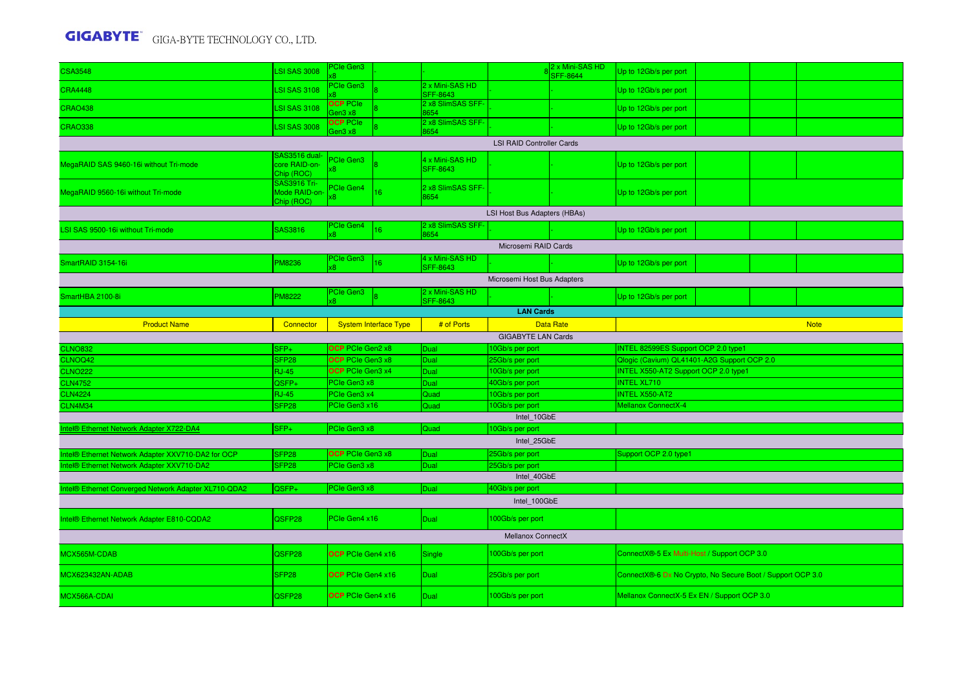| <b>CSA3548</b>                                       | <b>LSI SAS 3008</b>                         | <b>Cle Gen3</b>            |                              |                                    |                                  | 2 x Mini-SAS HD<br><b>SFF-8644</b> | Up to 12Gb/s per port                                      |  |  |                                            |  |  |  |  |  |  |  |  |  |  |  |
|------------------------------------------------------|---------------------------------------------|----------------------------|------------------------------|------------------------------------|----------------------------------|------------------------------------|------------------------------------------------------------|--|--|--------------------------------------------|--|--|--|--|--|--|--|--|--|--|--|
| <b>CRA4448</b>                                       | <b>LSI SAS 3108</b>                         | PCIe Gen3                  |                              | 2 x Mini-SAS HD<br><b>SFF-8643</b> |                                  |                                    | Up to 12Gb/s per port                                      |  |  |                                            |  |  |  |  |  |  |  |  |  |  |  |
| <b>CRAO438</b>                                       | <b>LSI SAS 3108</b>                         | <b>OCP</b> PCIe<br>Gen3 x8 |                              | 2 x8 SlimSAS SFF-<br>8654          |                                  |                                    | Up to 12Gb/s per port                                      |  |  |                                            |  |  |  |  |  |  |  |  |  |  |  |
| <b>CRAO338</b>                                       | <b>LSI SAS 3008</b>                         | <b>OCP</b> PCIe<br>en3 x8  |                              | 2 x8 SlimSAS SFF-<br>8654          |                                  |                                    | Up to 12Gb/s per port                                      |  |  |                                            |  |  |  |  |  |  |  |  |  |  |  |
|                                                      |                                             |                            |                              |                                    | <b>LSI RAID Controller Cards</b> |                                    |                                                            |  |  |                                            |  |  |  |  |  |  |  |  |  |  |  |
| MegaRAID SAS 9460-16i without Tri-mode               | SAS3516 dual<br>core RAID-on-<br>Chip (ROC) | <b>Cle Gen3</b>            |                              | 4 x Mini-SAS HD<br><b>SFF-8643</b> |                                  |                                    | Up to 12Gb/s per port                                      |  |  |                                            |  |  |  |  |  |  |  |  |  |  |  |
| MegaRAID 9560-16i without Tri-mode                   | SAS3916 Tri-<br>Mode RAID-on<br>Chip (ROC)  | PCIe Gen4                  | 16                           | 2 x8 SlimSAS SFF-<br>8654          |                                  |                                    | Up to 12Gb/s per port                                      |  |  |                                            |  |  |  |  |  |  |  |  |  |  |  |
| LSI Host Bus Adapters (HBAs)                         |                                             |                            |                              |                                    |                                  |                                    |                                                            |  |  |                                            |  |  |  |  |  |  |  |  |  |  |  |
| LSI SAS 9500-16i without Tri-mode                    | SAS3816                                     | PCIe Gen4<br>x8            | 16 <sup>2</sup>              | 2 x8 SlimSAS SFF-<br>8654          |                                  |                                    | Up to 12Gb/s per port                                      |  |  |                                            |  |  |  |  |  |  |  |  |  |  |  |
| Microsemi RAID Cards                                 |                                             |                            |                              |                                    |                                  |                                    |                                                            |  |  |                                            |  |  |  |  |  |  |  |  |  |  |  |
| SmartRAID 3154-16i                                   | PM8236                                      | PCIe Gen3                  | 16                           | 4 x Mini-SAS HD<br><b>SFF-8643</b> |                                  |                                    | Up to 12Gb/s per port                                      |  |  |                                            |  |  |  |  |  |  |  |  |  |  |  |
| Microsemi Host Bus Adapters                          |                                             |                            |                              |                                    |                                  |                                    |                                                            |  |  |                                            |  |  |  |  |  |  |  |  |  |  |  |
| SmartHBA 2100-8i                                     | PM8222                                      | PCIe Gen3                  |                              | 2 x Mini-SAS HD<br>SFF-8643        |                                  |                                    | Up to 12Gb/s per port                                      |  |  |                                            |  |  |  |  |  |  |  |  |  |  |  |
|                                                      |                                             |                            |                              |                                    | <b>LAN Cards</b>                 |                                    |                                                            |  |  |                                            |  |  |  |  |  |  |  |  |  |  |  |
| <b>Product Name</b>                                  | Connector                                   |                            | <b>System Interface Type</b> | # of Ports                         |                                  | <b>Data Rate</b>                   |                                                            |  |  | <b>Note</b>                                |  |  |  |  |  |  |  |  |  |  |  |
| <b>GIGABYTE LAN Cards</b>                            |                                             |                            |                              |                                    |                                  |                                    |                                                            |  |  |                                            |  |  |  |  |  |  |  |  |  |  |  |
| <b>CLNO832</b>                                       | SFP+                                        | OCP PCIe Gen2 x8           |                              | Dual                               | 10Gb/s per port                  |                                    | INTEL 82599ES Support OCP 2.0 type1                        |  |  |                                            |  |  |  |  |  |  |  |  |  |  |  |
| CLNOQ42                                              | SFP <sub>28</sub>                           | OCP PCIe Gen3 x8           |                              | Dual                               | 25Gb/s per port                  |                                    | Qlogic (Cavium) QL41401-A2G Support OCP 2.0                |  |  |                                            |  |  |  |  |  |  |  |  |  |  |  |
| <b>CLNO222</b>                                       | <b>RJ-45</b>                                | OCP PCIe Gen3 x4           |                              | Dual                               | 10Gb/s per port                  |                                    | INTEL X550-AT2 Support OCP 2.0 type1                       |  |  |                                            |  |  |  |  |  |  |  |  |  |  |  |
| <b>CLN4752</b>                                       | QSFP+                                       | PCIe Gen3 x8               |                              | Dual                               | 40Gb/s per port                  |                                    | <b>INTEL XL710</b>                                         |  |  |                                            |  |  |  |  |  |  |  |  |  |  |  |
| <b>CLN4224</b>                                       | <b>RJ-45</b>                                | PCIe Gen3 x4               |                              | Quad                               | 10Gb/s per port                  |                                    | <b>INTEL X550-AT2</b>                                      |  |  |                                            |  |  |  |  |  |  |  |  |  |  |  |
| CLN4M34                                              | SFP <sub>28</sub>                           | <sup>P</sup> Cle Gen3 x16  |                              | Quad                               | 10Gb/s per port                  |                                    | Mellanox ConnectX-4                                        |  |  |                                            |  |  |  |  |  |  |  |  |  |  |  |
| ntel® Ethernet Network Adapter X722-DA4              | $SFP+$                                      | PCIe Gen3 x8               |                              |                                    | Intel 10GbE<br>10Gb/s per port   |                                    |                                                            |  |  |                                            |  |  |  |  |  |  |  |  |  |  |  |
|                                                      |                                             |                            |                              | Quad                               | Intel 25GbE                      |                                    |                                                            |  |  |                                            |  |  |  |  |  |  |  |  |  |  |  |
|                                                      |                                             |                            |                              |                                    |                                  |                                    |                                                            |  |  |                                            |  |  |  |  |  |  |  |  |  |  |  |
| Intel® Ethernet Network Adapter XXV710-DA2 for OCP   | SFP <sub>28</sub>                           | OCP PCIe Gen3 x8           |                              | <b>Dual</b>                        | 25Gb/s per port                  |                                    | Support OCP 2.0 type1                                      |  |  |                                            |  |  |  |  |  |  |  |  |  |  |  |
|                                                      |                                             |                            |                              |                                    |                                  |                                    |                                                            |  |  | Intel® Ethernet Network Adapter XXV710-DA2 |  |  |  |  |  |  |  |  |  |  |  |
|                                                      | SFP <sub>28</sub>                           | PCIe Gen3 x8               |                              | Dual                               | 25Gb/s per port                  |                                    |                                                            |  |  |                                            |  |  |  |  |  |  |  |  |  |  |  |
|                                                      |                                             |                            |                              |                                    | Intel 40GbE                      |                                    |                                                            |  |  |                                            |  |  |  |  |  |  |  |  |  |  |  |
| Intel® Ethernet Converged Network Adapter XL710-QDA2 | QSFP+                                       | PCIe Gen3 x8               |                              | Dual                               | 40Gb/s per port<br>Intel 100GbE  |                                    |                                                            |  |  |                                            |  |  |  |  |  |  |  |  |  |  |  |
| Intel® Ethernet Network Adapter E810-CQDA2           | QSFP28                                      | PCIe Gen4 x16              |                              | Dual                               | 100Gb/s per port                 |                                    |                                                            |  |  |                                            |  |  |  |  |  |  |  |  |  |  |  |
|                                                      |                                             |                            |                              |                                    | <b>Mellanox ConnectX</b>         |                                    |                                                            |  |  |                                            |  |  |  |  |  |  |  |  |  |  |  |
| MCX565M-CDAB                                         | QSFP28                                      | <b>OCP</b> PCIe Gen4 x16   |                              | Single                             | 100Gb/s per port                 |                                    | ConnectX®-5 Ex Multi-Host / Support OCP 3.0                |  |  |                                            |  |  |  |  |  |  |  |  |  |  |  |
| MCX623432AN-ADAB                                     | SFP28                                       | OCP PCIe Gen4 x16          |                              | <b>Dual</b>                        | 25Gb/s per port                  |                                    | ConnectX®-6 Dx No Crypto, No Secure Boot / Support OCP 3.0 |  |  |                                            |  |  |  |  |  |  |  |  |  |  |  |